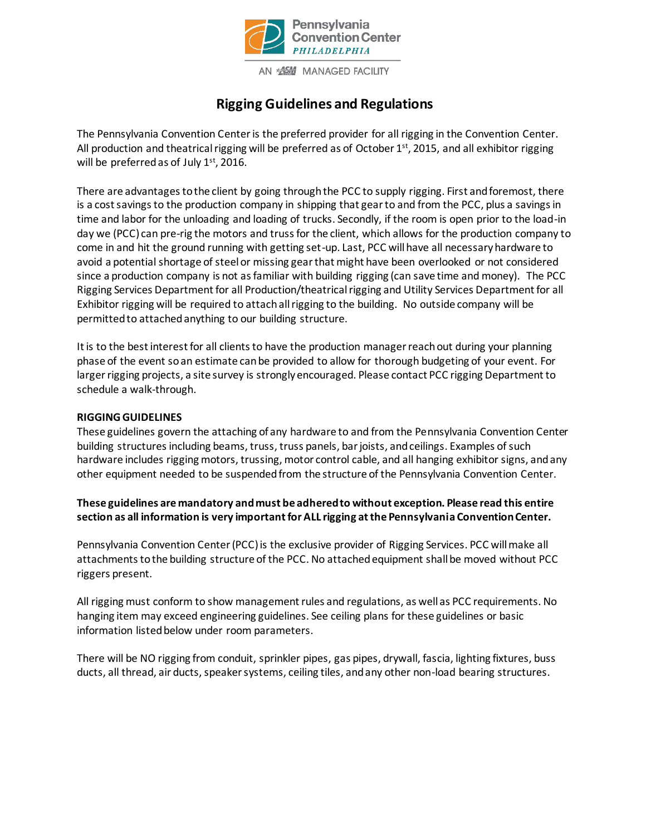

# **Rigging Guidelines and Regulations**

The Pennsylvania Convention Center is the preferred provider for all rigging in the Convention Center. All production and theatrical rigging will be preferred as of October 1<sup>st</sup>, 2015, and all exhibitor rigging will be preferred as of July 1<sup>st</sup>, 2016.

There are advantages to the client by going through the PCC to supply rigging. First and foremost, there is a cost savings to the production company in shipping that gear to and from the PCC, plus a savings in time and labor for the unloading and loading of trucks. Secondly, if the room is open prior to the load-in day we (PCC) can pre-rig the motors and truss for the client, which allows for the production company to come in and hit the ground running with getting set-up. Last, PCC will have all necessary hardware to avoid a potential shortage of steel or missing gear that might have been overlooked or not considered since a production company is not as familiar with building rigging (can save time and money). The PCC Rigging Services Department for all Production/theatrical rigging and Utility Services Department for all Exhibitor rigging will be required to attachall rigging to the building. No outside company will be permitted to attached anything to our building structure.

It is to the best interest for all clients to have the production manager reach out during your planning phase of the event so an estimate can be provided to allow for thorough budgeting of your event. For larger rigging projects, a site survey is strongly encouraged. Please contact PCC rigging Department to schedule a walk-through.

## **RIGGING GUIDELINES**

These guidelines govern the attaching of any hardware to and from the Pennsylvania Convention Center building structures including beams, truss, truss panels, bar joists, and ceilings. Examples of such hardware includes rigging motors, trussing, motor control cable, and all hanging exhibitor signs, and any other equipment needed to be suspended from the structure of the Pennsylvania Convention Center.

# **These guidelines are mandatory and must be adhered to without exception. Please read this entire section as all information is very important for ALL rigging at the Pennsylvania Convention Center.**

Pennsylvania Convention Center (PCC) is the exclusive provider of Rigging Services. PCC will make all attachments to the building structure of the PCC. No attached equipment shall be moved without PCC riggers present.

All rigging must conform to show management rules and regulations, as well as PCC requirements. No hanging item may exceed engineering guidelines. See ceiling plans for these guidelines or basic information listed below under room parameters.

There will be NO rigging from conduit, sprinkler pipes, gas pipes, drywall, fascia, lighting fixtures, buss ducts, all thread, air ducts, speaker systems, ceiling tiles, and any other non-load bearing structures.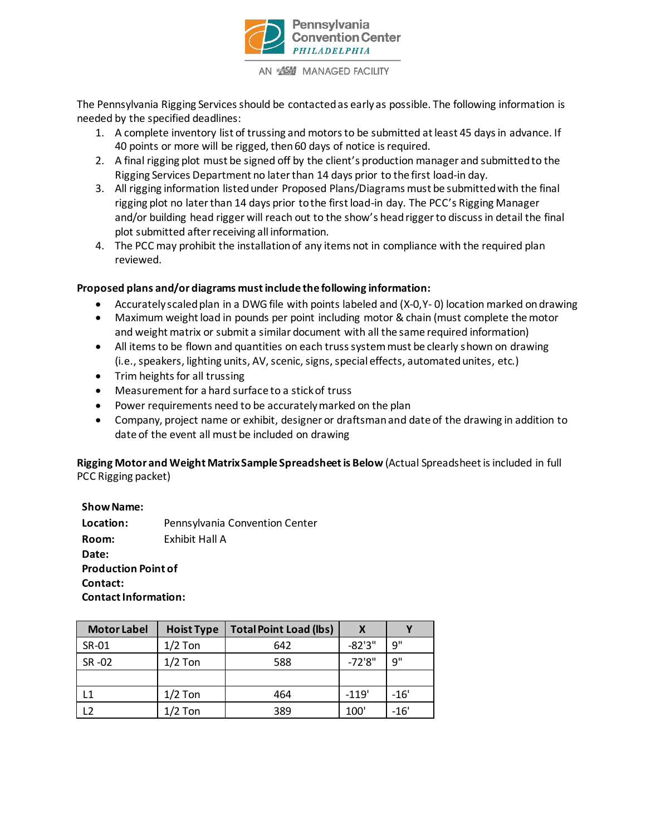

The Pennsylvania Rigging Services should be contacted as early as possible. The following information is needed by the specified deadlines:

- 1. A complete inventory list of trussing and motors to be submitted at least 45 days in advance. If 40 points or more will be rigged, then 60 days of notice is required.
- 2. A final rigging plot must be signed off by the client's production manager and submitted to the Rigging Services Department no later than 14 days prior to the first load-in day.
- 3. All rigging information listed under Proposed Plans/Diagrams must be submitted with the final rigging plot no later than 14 days prior to the first load-in day. The PCC's Rigging Manager and/or building head rigger will reach out to the show's head rigger to discuss in detail the final plot submitted after receiving all information.
- 4. The PCC may prohibit the installation of any items not in compliance with the required plan reviewed.

#### **Proposed plans and/or diagrams must include the following information:**

- Accurately scaled plan in a DWG file with points labeled and (X-0,Y- 0) location marked on drawing
- Maximum weight load in pounds per point including motor & chain (must complete the motor and weight matrix or submit a similar document with all the same required information)
- All items to be flown and quantities on each truss system must be clearly shown on drawing (i.e.,speakers, lighting units, AV, scenic, signs, special effects, automated unites, etc.)
- Trim heights for all trussing
- Measurement for a hard surface to a stick of truss
- Power requirements need to be accurately marked on the plan
- Company, project name or exhibit, designer or draftsman and date of the drawing in addition to date of the event all must be included on drawing

**Rigging Motor and Weight Matrix Sample Spreadsheet is Below** (Actual Spreadsheet is included in full PCC Rigging packet)

**ShowName:**

**Location:** Pennsylvania Convention Center **Room:** Exhibit Hall A **Date: Production Point of Contact: Contact Information:**

| <b>Motor Label</b> | <b>Hoist Type</b> | <b>Total Point Load (lbs)</b> | x         |        |
|--------------------|-------------------|-------------------------------|-----------|--------|
| SR-01              | $1/2$ Ton         | 642                           | $-82'3''$ | q"     |
| SR -02             | $1/2$ Ton         | 588                           | $-72'8"$  | q"     |
|                    |                   |                               |           |        |
| ۱1                 | $1/2$ Ton         | 464                           | $-119'$   | $-16'$ |
|                    | 1/2 Ton           | 389                           | 100'      | $-16'$ |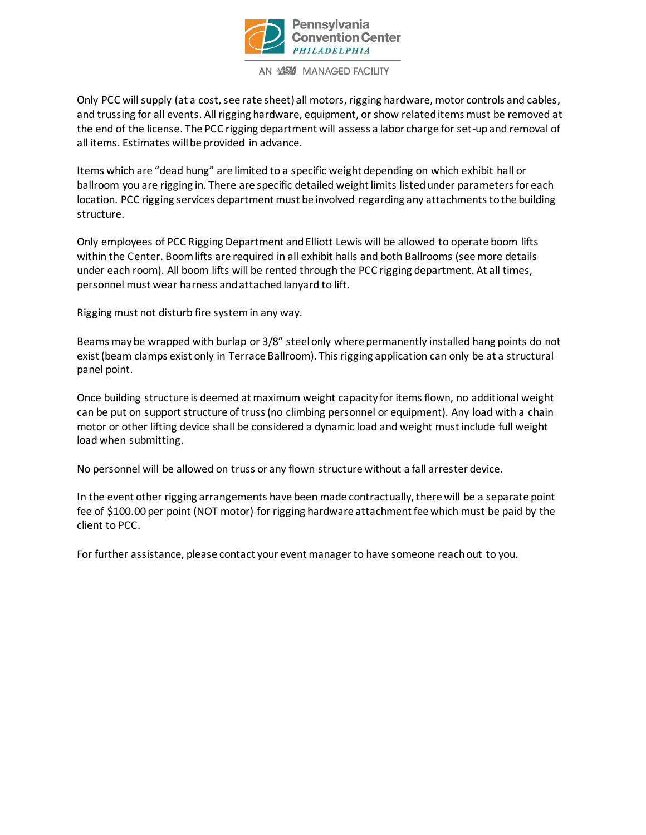

Only PCC will supply (at a cost, see rate sheet) all motors, rigging hardware, motor controls and cables, and trussing for all events. All rigging hardware, equipment, or show related items must be removed at the end of the license. The PCC rigging department will assess a labor charge for set-up and removal of all items. Estimates will be provided in advance.

Items which are "dead hung" are limited to a specific weight depending on which exhibit hall or ballroom you are rigging in. There are specific detailed weight limits listed under parameters for each location. PCC rigging services department must be involved regarding any attachments to the building structure.

Only employees of PCC Rigging Department and Elliott Lewis will be allowed to operate boom lifts within the Center. Boom lifts are required in all exhibit halls and both Ballrooms (see more details under each room). All boom lifts will be rented through the PCC rigging department. At all times, personnel must wear harness and attached lanyard to lift.

Rigging must not disturb fire system in any way.

Beams may be wrapped with burlap or 3/8" steel only where permanently installed hang points do not exist (beam clamps exist only in Terrace Ballroom). This rigging application can only be at a structural panel point.

Once building structure is deemed at maximum weight capacity for items flown, no additional weight can be put on support structure of truss (no climbing personnel or equipment). Any load with a chain motor or other lifting device shall be considered a dynamic load and weight must include full weight load when submitting.

No personnel will be allowed on truss or any flown structure without a fall arrester device.

In the event other rigging arrangements have been made contractually, there will be a separate point fee of \$100.00 per point (NOT motor) for rigging hardware attachment fee which must be paid by the client to PCC.

For further assistance, please contact your event manager to have someone reach out to you.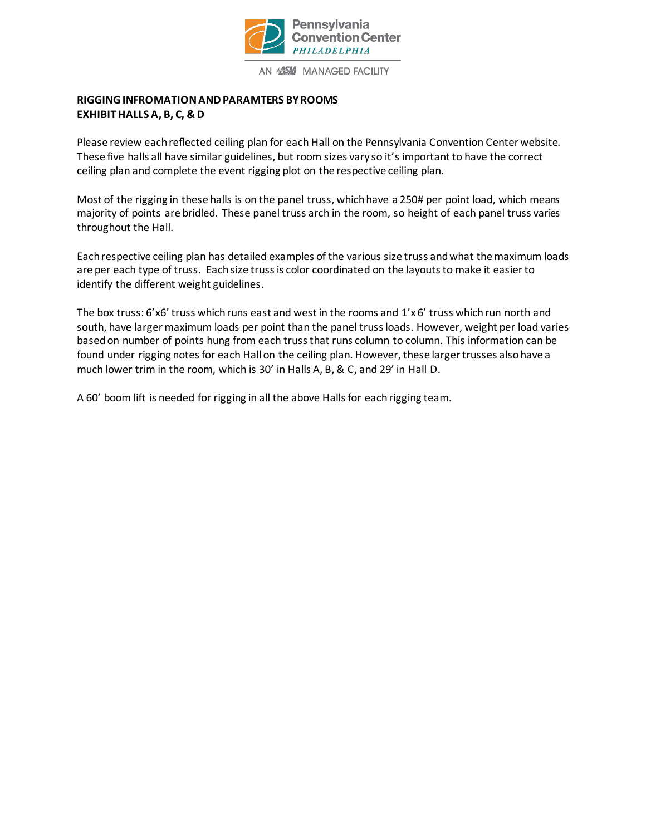

# **RIGGING INFROMATION AND PARAMTERS BY ROOMS EXHIBIT HALLS A, B, C, & D**

Please review each reflected ceiling plan for each Hall on the Pennsylvania Convention Center website. These five halls all have similar guidelines, but room sizes vary so it's important to have the correct ceiling plan and complete the event rigging plot on the respective ceiling plan.

Most of the rigging in these halls is on the panel truss, which have a 250# per point load, which means majority of points are bridled. These panel truss arch in the room, so height of each panel truss varies throughout the Hall.

Each respective ceiling plan has detailed examples of the various size truss and what the maximum loads are per each type of truss. Each size truss is color coordinated on the layouts to make it easier to identify the different weight guidelines.

The box truss:  $6'x6'$  truss which runs east and west in the rooms and  $1'x6'$  truss which run north and south, have larger maximum loads per point than the panel truss loads. However, weight per load varies based on number of points hung from each truss that runs column to column. This information can be found under rigging notes for each Hall on the ceiling plan. However, these larger trusses also have a much lower trim in the room, which is 30' in Halls A, B, & C, and 29' in Hall D.

A 60' boom lift is needed for rigging in all the above Halls for each rigging team.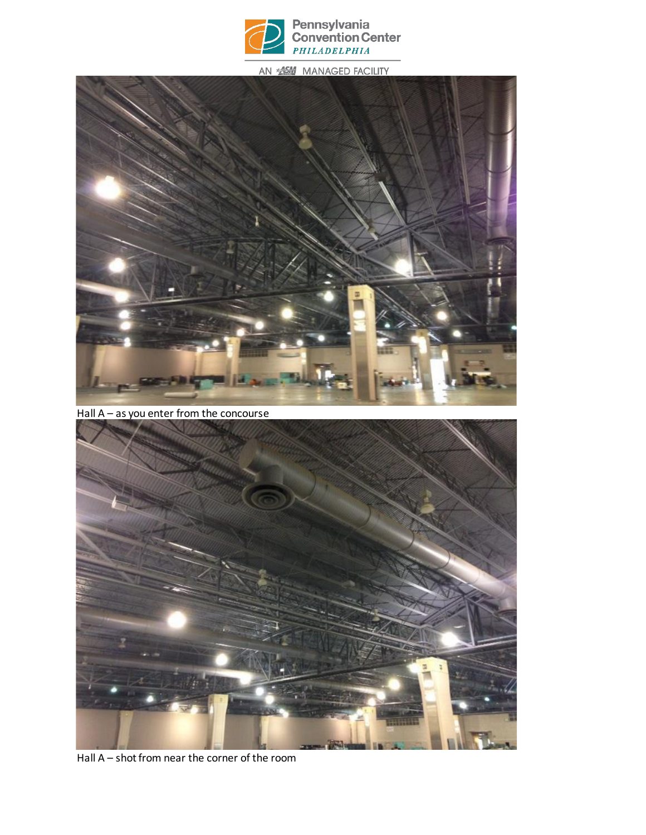



Hall A – as you enter from the concourse



Hall A – shot from near the corner of the room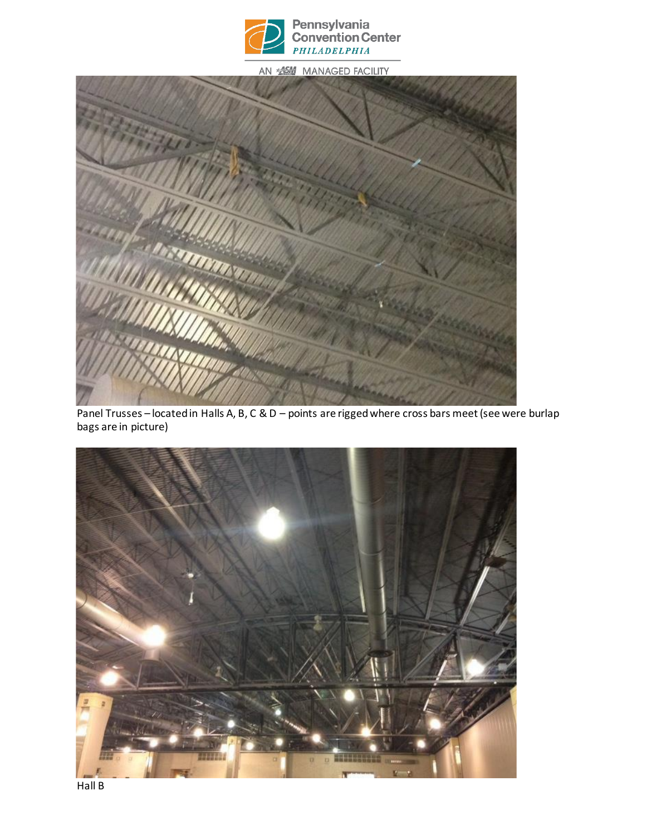



Panel Trusses – located in Halls A, B, C & D – points are rigged where cross bars meet (see were burlap bags are in picture)



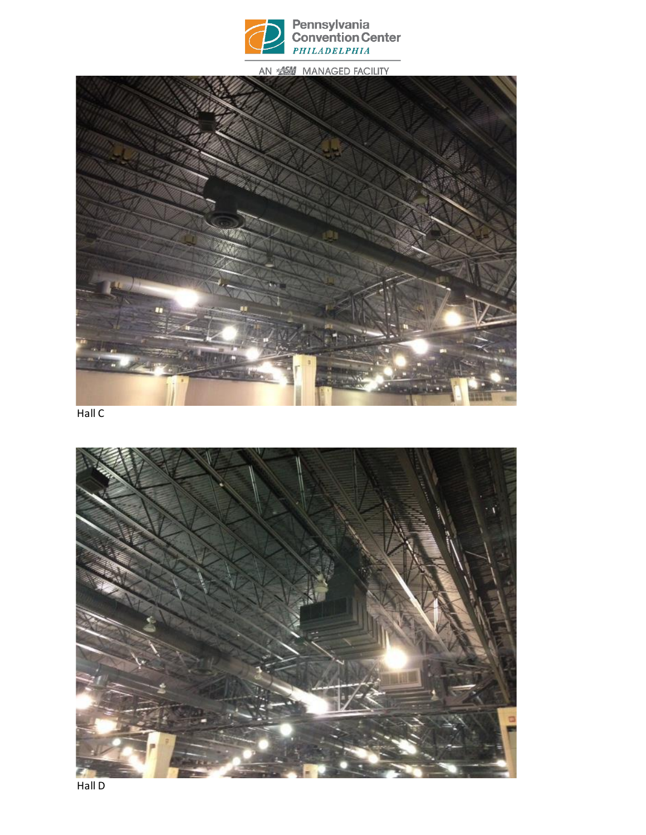



Hall C

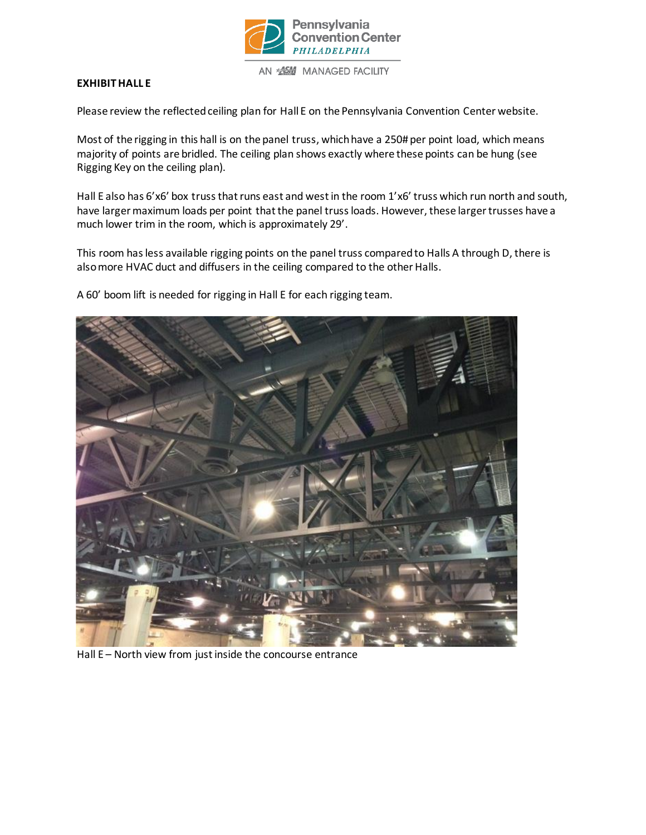

## **EXHIBIT HALL E**

Please review the reflected ceiling plan for Hall E on the Pennsylvania Convention Center website.

Most of the rigging in this hall is on the panel truss, which have a 250# per point load, which means majority of points are bridled. The ceiling plan shows exactly where these points can be hung (see Rigging Key on the ceiling plan).

Hall E also has 6'x6' box truss that runs east and west in the room 1'x6' truss which run north and south, have larger maximum loads per point that the panel truss loads. However, these larger trusses have a much lower trim in the room, which is approximately 29'.

This room has less available rigging points on the panel truss compared to Halls A through D, there is also more HVAC duct and diffusers in the ceiling compared to the other Halls.

A 60' boom lift is needed for rigging in Hall E for each rigging team.



Hall E – North view from just inside the concourse entrance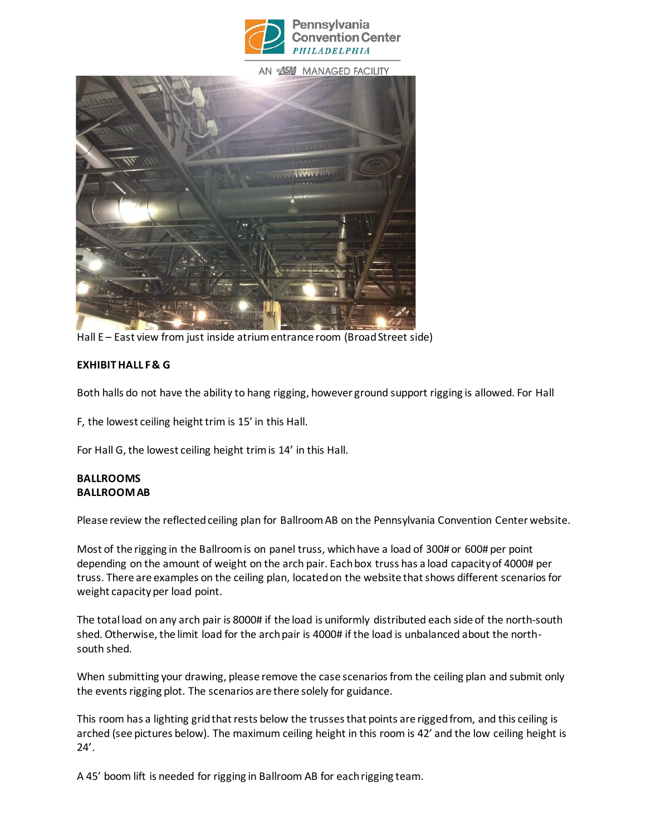



Hall E – East view from just inside atrium entrance room (Broad Street side)

## **EXHIBIT HALL F & G**

Both halls do not have the ability to hang rigging, however ground support rigging is allowed. For Hall

F, the lowest ceiling height trim is 15' in this Hall.

For Hall G, the lowest ceiling height trim is 14' in this Hall.

#### **BALLROOMS BALLROOM AB**

Please review the reflected ceiling plan for Ballroom AB on the Pennsylvania Convention Center website.

Most of the rigging in the Ballroom is on panel truss, which have a load of 300# or 600# per point depending on the amount of weight on the arch pair. Each box truss has a load capacity of 4000# per truss. There are examples on the ceiling plan, located on the website that shows different scenarios for weight capacity per load point.

The total load on any arch pair is 8000# if the load is uniformly distributed each side of the north-south shed. Otherwise, the limit load for the arch pair is 4000# if the load is unbalanced about the northsouth shed.

When submitting your drawing, please remove the case scenarios from the ceiling plan and submit only the events rigging plot. The scenarios are there solely for guidance.

This room has a lighting grid that rests below the trusses that points are rigged from, and this ceiling is arched (see pictures below). The maximum ceiling height in this room is 42' and the low ceiling height is 24'.

A 45' boom lift is needed for rigging in Ballroom AB for each rigging team.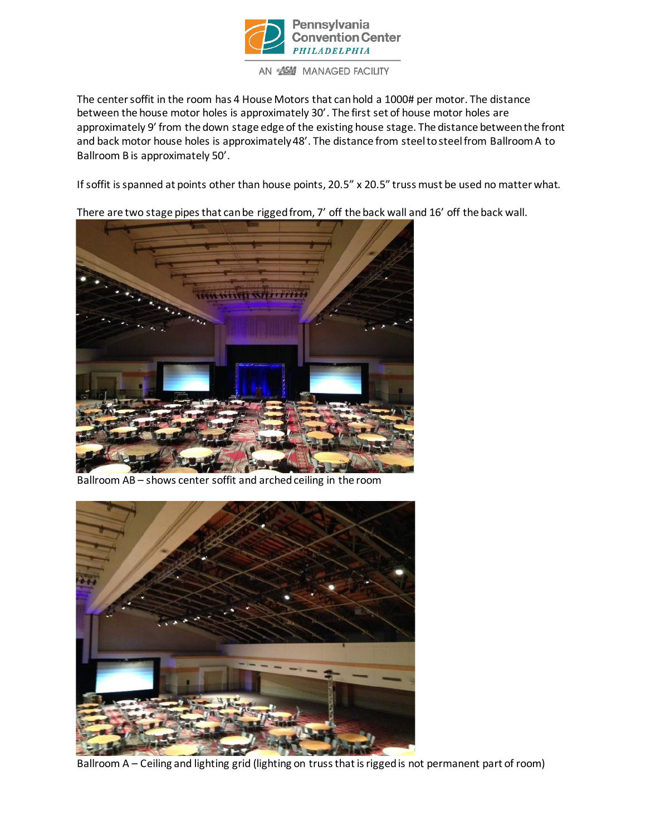

AN **SESSI** MANAGED FACILITY

The center soffit in the room has 4 House Motors that can hold a 1000# per motor. The distance between the house motor holes is approximately 30'. The first set of house motor holes are approximately 9' from the down stage edge of the existing house stage. The distance between the front and back motor house holes is approximately 48'. The distance from steel to steel from Ballroom A to Ballroom B is approximately 50'.

If soffit is spanned at points other than house points, 20.5" x 20.5" truss must be used no matter what.

There are two stage pipes that can be rigged from, 7' off the back wall and 16' off the back wall.



Ballroom AB – shows center soffit and arched ceiling in the room



Ballroom A – Ceiling and lighting grid (lighting on truss that is rigged is not permanent part of room)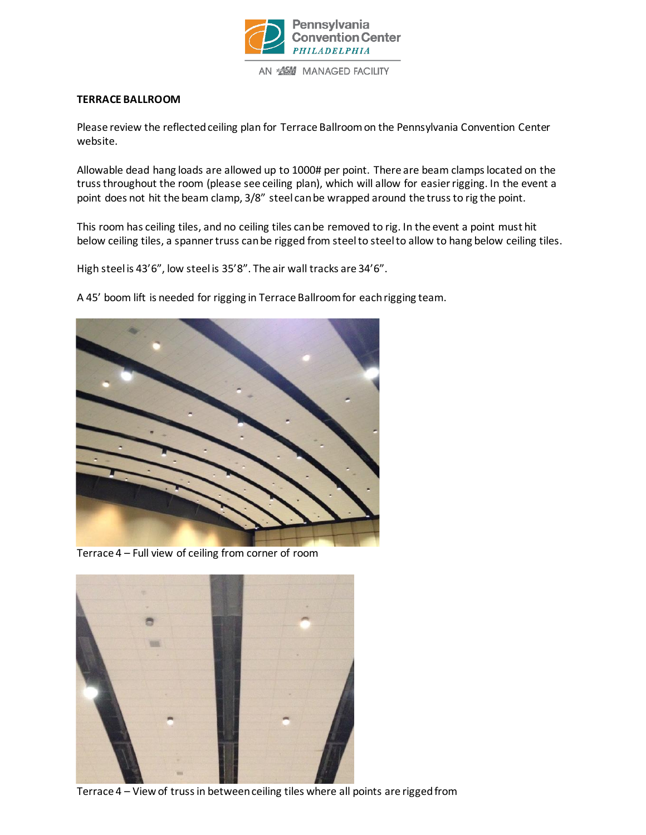

#### **TERRACE BALLROOM**

Please review the reflected ceiling plan for Terrace Ballroom on the Pennsylvania Convention Center website.

Allowable dead hang loads are allowed up to 1000# per point. There are beam clamps located on the truss throughout the room (please see ceiling plan), which will allow for easier rigging. In the event a point does not hit the beam clamp, 3/8" steel can be wrapped around the truss to rig the point.

This room has ceiling tiles, and no ceiling tiles can be removed to rig. In the event a point must hit below ceiling tiles, a spanner truss can be rigged from steel to steel to allow to hang below ceiling tiles.

High steel is 43'6", low steel is 35'8". The air wall tracks are 34'6".

A 45' boom lift is needed for rigging in Terrace Ballroom for each rigging team.



Terrace 4 – Full view of ceiling from corner of room



Terrace 4 – View of truss in between ceiling tiles where all points are rigged from